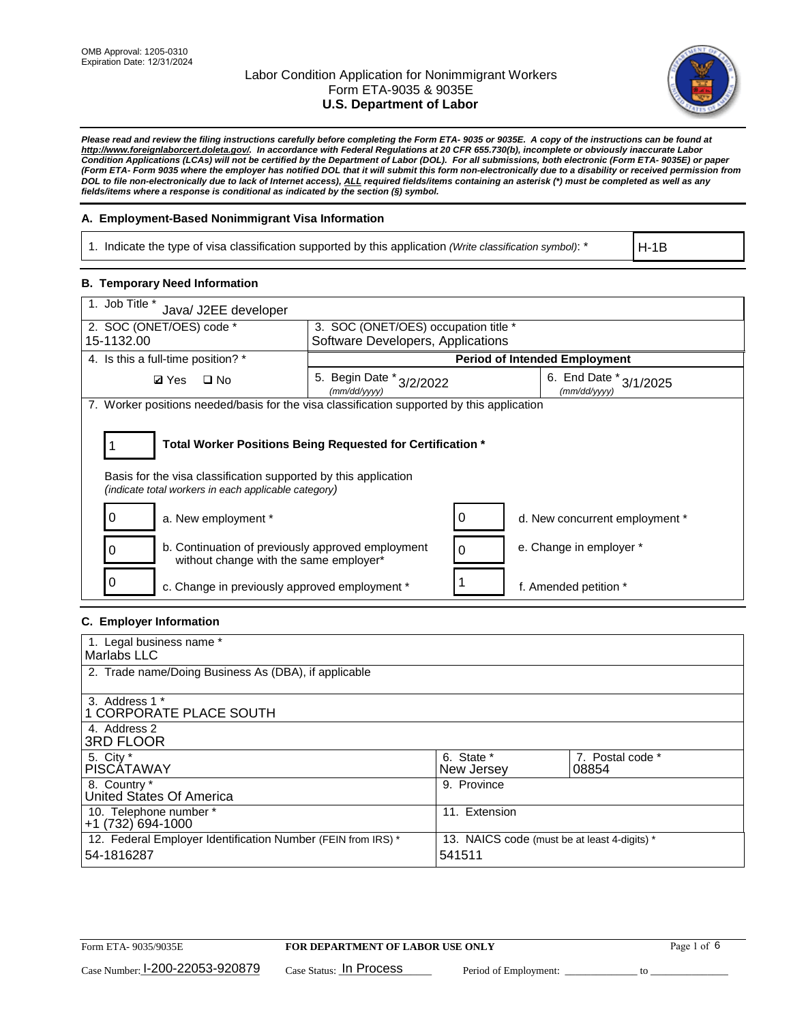

*Please read and review the filing instructions carefully before completing the Form ETA- 9035 or 9035E. A copy of the instructions can be found at http://www.foreignlaborcert.doleta.gov/. In accordance with Federal Regulations at 20 CFR 655.730(b), incomplete or obviously inaccurate Labor Condition Applications (LCAs) will not be certified by the Department of Labor (DOL). For all submissions, both electronic (Form ETA- 9035E) or paper (Form ETA- Form 9035 where the employer has notified DOL that it will submit this form non-electronically due to a disability or received permission from DOL to file non-electronically due to lack of Internet access), ALL required fields/items containing an asterisk (\*) must be completed as well as any fields/items where a response is conditional as indicated by the section (§) symbol.* 

### **A. Employment-Based Nonimmigrant Visa Information**

1. Indicate the type of visa classification supported by this application *(Write classification symbol)*: \*

H-1B

#### **B. Temporary Need Information**

| 1. Job Title *<br>Java/ J2EE developer                                                                                                                                                |                                          |          |                                        |  |  |
|---------------------------------------------------------------------------------------------------------------------------------------------------------------------------------------|------------------------------------------|----------|----------------------------------------|--|--|
| 2. SOC (ONET/OES) code *                                                                                                                                                              | 3. SOC (ONET/OES) occupation title *     |          |                                        |  |  |
| 15-1132.00                                                                                                                                                                            | Software Developers, Applications        |          |                                        |  |  |
| 4. Is this a full-time position? *                                                                                                                                                    |                                          |          | <b>Period of Intended Employment</b>   |  |  |
| <b>Ø</b> Yes<br>$\Box$ No                                                                                                                                                             | 5. Begin Date * 3/2/2022<br>(mm/dd/yyyy) |          | 6. End Date * 3/1/2025<br>(mm/dd/yyyy) |  |  |
| 7. Worker positions needed/basis for the visa classification supported by this application                                                                                            |                                          |          |                                        |  |  |
| Total Worker Positions Being Requested for Certification *<br>Basis for the visa classification supported by this application<br>(indicate total workers in each applicable category) |                                          |          |                                        |  |  |
| a. New employment *                                                                                                                                                                   |                                          |          | d. New concurrent employment *         |  |  |
| b. Continuation of previously approved employment<br>0<br>without change with the same employer*                                                                                      |                                          | $\Omega$ | e. Change in employer *                |  |  |
| c. Change in previously approved employment *                                                                                                                                         |                                          |          | f. Amended petition *                  |  |  |

### **C. Employer Information**

| 1. Legal business name *                                                   |                                                        |                           |
|----------------------------------------------------------------------------|--------------------------------------------------------|---------------------------|
| Marlabs LLC                                                                |                                                        |                           |
| 2. Trade name/Doing Business As (DBA), if applicable                       |                                                        |                           |
| 3. Address 1 *<br>1 CORPORATE PLACE SOUTH<br>4. Address 2                  |                                                        |                           |
| <b>3RD FLOOR</b>                                                           |                                                        |                           |
| 5. City *<br><b>PISCÁTAWAY</b>                                             | 6. State *<br>New Jersey                               | 7. Postal code *<br>08854 |
| 8. Country *<br>United States Of America                                   | 9. Province                                            |                           |
| 10. Telephone number *<br>$+1(732)694-1000$                                | 11. Extension                                          |                           |
| 12. Federal Employer Identification Number (FEIN from IRS) *<br>54-1816287 | 13. NAICS code (must be at least 4-digits) *<br>541511 |                           |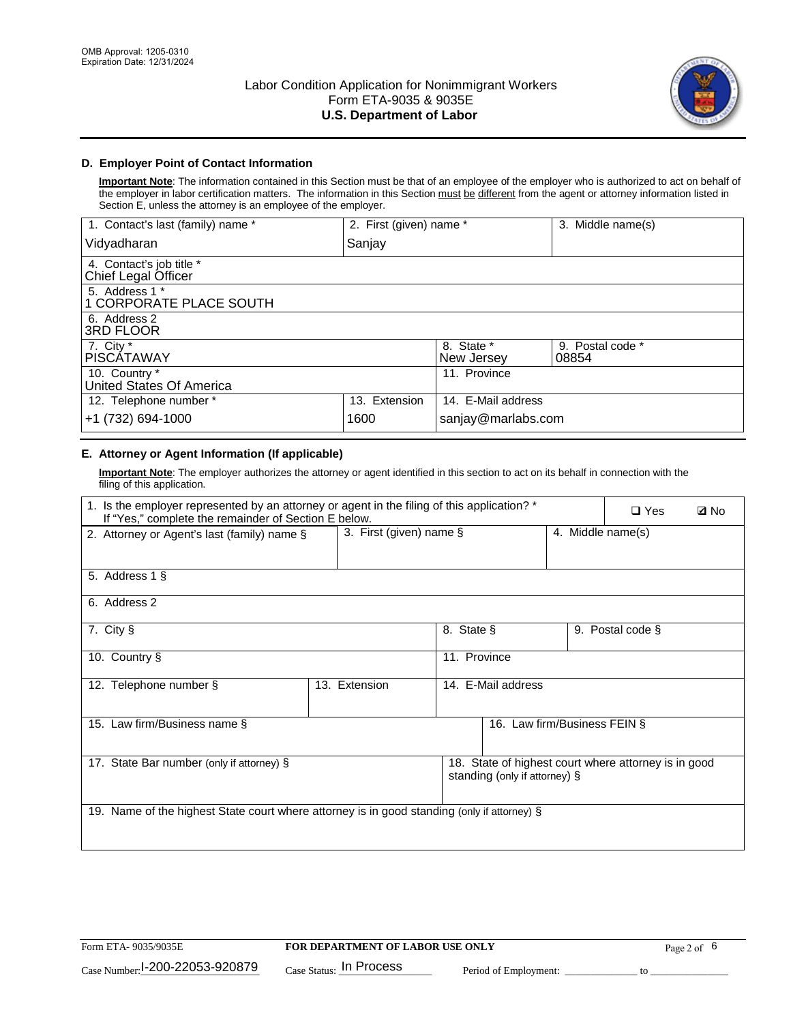

## **D. Employer Point of Contact Information**

**Important Note**: The information contained in this Section must be that of an employee of the employer who is authorized to act on behalf of the employer in labor certification matters. The information in this Section must be different from the agent or attorney information listed in Section E, unless the attorney is an employee of the employer.

| 1. Contact's last (family) name *               | 2. First (given) name * |                          | 3. Middle name(s)         |
|-------------------------------------------------|-------------------------|--------------------------|---------------------------|
| Vidyadharan                                     | Sanjay                  |                          |                           |
| 4. Contact's job title *<br>Chief Legal Officer |                         |                          |                           |
| 5. Address 1 *<br>1 CORPORATE PLACE SOUTH       |                         |                          |                           |
| 6. Address 2<br>3RD FLOOR                       |                         |                          |                           |
| 7. City $*$<br><b>PISCÁTAWAY</b>                |                         | 8. State *<br>New Jersey | 9. Postal code *<br>08854 |
| 10. Country *<br>United States Of America       |                         | 11. Province             |                           |
| 12. Telephone number *                          | 13. Extension           | 14. E-Mail address       |                           |
| +1 (732) 694-1000                               | 1600                    | sanjay@marlabs.com       |                           |

# **E. Attorney or Agent Information (If applicable)**

**Important Note**: The employer authorizes the attorney or agent identified in this section to act on its behalf in connection with the filing of this application.

| 1. Is the employer represented by an attorney or agent in the filing of this application? *<br>If "Yes," complete the remainder of Section E below. |                         | $\Box$ Yes   | <b>ØNo</b>                    |                   |                                                      |  |
|-----------------------------------------------------------------------------------------------------------------------------------------------------|-------------------------|--------------|-------------------------------|-------------------|------------------------------------------------------|--|
| 2. Attorney or Agent's last (family) name §                                                                                                         | 3. First (given) name § |              |                               | 4. Middle name(s) |                                                      |  |
| 5. Address 1 §                                                                                                                                      |                         |              |                               |                   |                                                      |  |
| 6. Address 2                                                                                                                                        |                         |              |                               |                   |                                                      |  |
| 7. City §                                                                                                                                           |                         | 8. State §   |                               |                   | 9. Postal code §                                     |  |
| 10. Country §                                                                                                                                       |                         | 11. Province |                               |                   |                                                      |  |
| 12. Telephone number §                                                                                                                              | 13. Extension           |              | 14. E-Mail address            |                   |                                                      |  |
| 15. Law firm/Business name §                                                                                                                        |                         |              | 16. Law firm/Business FEIN §  |                   |                                                      |  |
| 17. State Bar number (only if attorney) §                                                                                                           |                         |              | standing (only if attorney) § |                   | 18. State of highest court where attorney is in good |  |
| 19. Name of the highest State court where attorney is in good standing (only if attorney) §                                                         |                         |              |                               |                   |                                                      |  |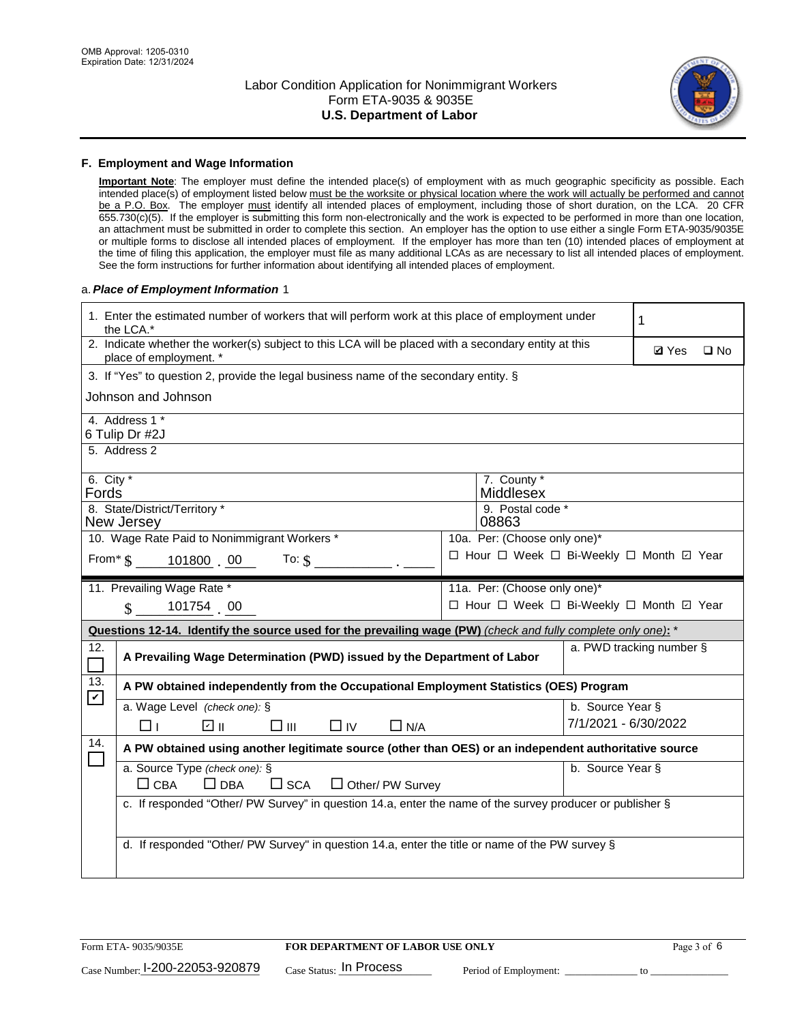

#### **F. Employment and Wage Information**

**Important Note**: The employer must define the intended place(s) of employment with as much geographic specificity as possible. Each intended place(s) of employment listed below must be the worksite or physical location where the work will actually be performed and cannot be a P.O. Box. The employer must identify all intended places of employment, including those of short duration, on the LCA. 20 CFR 655.730(c)(5). If the employer is submitting this form non-electronically and the work is expected to be performed in more than one location, an attachment must be submitted in order to complete this section. An employer has the option to use either a single Form ETA-9035/9035E or multiple forms to disclose all intended places of employment. If the employer has more than ten (10) intended places of employment at the time of filing this application, the employer must file as many additional LCAs as are necessary to list all intended places of employment. See the form instructions for further information about identifying all intended places of employment.

#### a.*Place of Employment Information* 1

|                                                                                                     | 1. Enter the estimated number of workers that will perform work at this place of employment under<br>the LCA.*                 |  | 1                                        |                      |                          |              |  |  |
|-----------------------------------------------------------------------------------------------------|--------------------------------------------------------------------------------------------------------------------------------|--|------------------------------------------|----------------------|--------------------------|--------------|--|--|
|                                                                                                     | 2. Indicate whether the worker(s) subject to this LCA will be placed with a secondary entity at this<br>place of employment. * |  |                                          |                      | <b>Ø</b> Yes             | $\square$ No |  |  |
|                                                                                                     | 3. If "Yes" to question 2, provide the legal business name of the secondary entity. §                                          |  |                                          |                      |                          |              |  |  |
|                                                                                                     | Johnson and Johnson                                                                                                            |  |                                          |                      |                          |              |  |  |
|                                                                                                     | 4. Address 1 *                                                                                                                 |  |                                          |                      |                          |              |  |  |
|                                                                                                     | 6 Tulip Dr #2J                                                                                                                 |  |                                          |                      |                          |              |  |  |
|                                                                                                     | 5. Address 2                                                                                                                   |  |                                          |                      |                          |              |  |  |
|                                                                                                     | 6. City $*$<br>7. County *<br>Middlesex<br>Fords                                                                               |  |                                          |                      |                          |              |  |  |
|                                                                                                     | 8. State/District/Territory *                                                                                                  |  | 9. Postal code *                         |                      |                          |              |  |  |
| New Jersey<br>08863<br>10. Wage Rate Paid to Nonimmigrant Workers *<br>10a. Per: (Choose only one)* |                                                                                                                                |  |                                          |                      |                          |              |  |  |
| □ Hour □ Week □ Bi-Weekly □ Month 回 Year<br>From * \$ 101800 00<br>To: $$$                          |                                                                                                                                |  |                                          |                      |                          |              |  |  |
|                                                                                                     |                                                                                                                                |  |                                          |                      |                          |              |  |  |
|                                                                                                     | 11. Prevailing Wage Rate *                                                                                                     |  | 11a. Per: (Choose only one)*             |                      |                          |              |  |  |
|                                                                                                     | 101754 00<br>$\mathbf{\hat{S}}$                                                                                                |  | □ Hour □ Week □ Bi-Weekly □ Month 回 Year |                      |                          |              |  |  |
|                                                                                                     | Questions 12-14. Identify the source used for the prevailing wage (PW) (check and fully complete only one): *                  |  |                                          |                      |                          |              |  |  |
| 12.                                                                                                 | A Prevailing Wage Determination (PWD) issued by the Department of Labor                                                        |  |                                          |                      | a. PWD tracking number § |              |  |  |
| 13.                                                                                                 | A PW obtained independently from the Occupational Employment Statistics (OES) Program                                          |  |                                          |                      |                          |              |  |  |
| $\blacktriangledown$                                                                                | a. Wage Level (check one): §                                                                                                   |  |                                          | b. Source Year §     |                          |              |  |  |
|                                                                                                     | ☑ ॥<br>$\square$ $\square$<br>$\Box$ IV<br>Пт<br>$\Box$ N/A                                                                    |  |                                          | 7/1/2021 - 6/30/2022 |                          |              |  |  |
| 14.                                                                                                 | A PW obtained using another legitimate source (other than OES) or an independent authoritative source                          |  |                                          |                      |                          |              |  |  |
|                                                                                                     | a. Source Type (check one): §                                                                                                  |  |                                          | b. Source Year §     |                          |              |  |  |
|                                                                                                     | $\Box$ CBA<br>$\Box$ DBA<br>$\square$ SCA<br>$\Box$ Other/ PW Survey                                                           |  |                                          |                      |                          |              |  |  |
|                                                                                                     | c. If responded "Other/ PW Survey" in question 14.a, enter the name of the survey producer or publisher §                      |  |                                          |                      |                          |              |  |  |
|                                                                                                     |                                                                                                                                |  |                                          |                      |                          |              |  |  |
|                                                                                                     | d. If responded "Other/ PW Survey" in question 14.a, enter the title or name of the PW survey §                                |  |                                          |                      |                          |              |  |  |
|                                                                                                     |                                                                                                                                |  |                                          |                      |                          |              |  |  |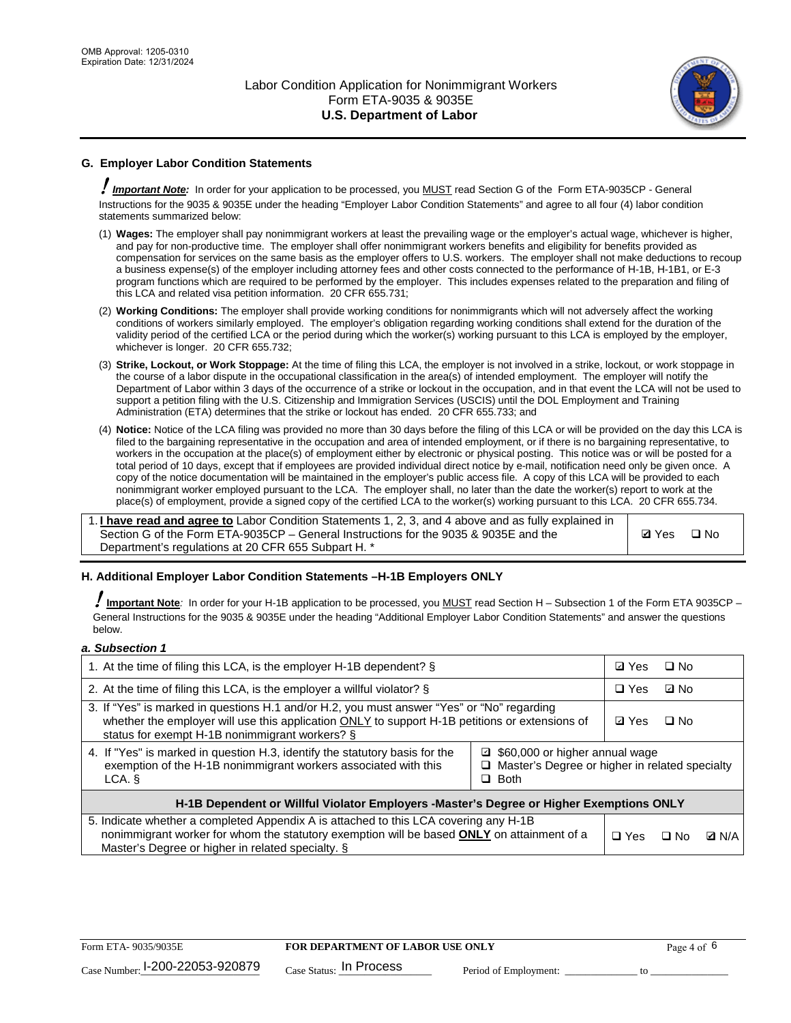

# **G. Employer Labor Condition Statements**

! *Important Note:* In order for your application to be processed, you MUST read Section G of the Form ETA-9035CP - General Instructions for the 9035 & 9035E under the heading "Employer Labor Condition Statements" and agree to all four (4) labor condition statements summarized below:

- (1) **Wages:** The employer shall pay nonimmigrant workers at least the prevailing wage or the employer's actual wage, whichever is higher, and pay for non-productive time. The employer shall offer nonimmigrant workers benefits and eligibility for benefits provided as compensation for services on the same basis as the employer offers to U.S. workers. The employer shall not make deductions to recoup a business expense(s) of the employer including attorney fees and other costs connected to the performance of H-1B, H-1B1, or E-3 program functions which are required to be performed by the employer. This includes expenses related to the preparation and filing of this LCA and related visa petition information. 20 CFR 655.731;
- (2) **Working Conditions:** The employer shall provide working conditions for nonimmigrants which will not adversely affect the working conditions of workers similarly employed. The employer's obligation regarding working conditions shall extend for the duration of the validity period of the certified LCA or the period during which the worker(s) working pursuant to this LCA is employed by the employer, whichever is longer. 20 CFR 655.732;
- (3) **Strike, Lockout, or Work Stoppage:** At the time of filing this LCA, the employer is not involved in a strike, lockout, or work stoppage in the course of a labor dispute in the occupational classification in the area(s) of intended employment. The employer will notify the Department of Labor within 3 days of the occurrence of a strike or lockout in the occupation, and in that event the LCA will not be used to support a petition filing with the U.S. Citizenship and Immigration Services (USCIS) until the DOL Employment and Training Administration (ETA) determines that the strike or lockout has ended. 20 CFR 655.733; and
- (4) **Notice:** Notice of the LCA filing was provided no more than 30 days before the filing of this LCA or will be provided on the day this LCA is filed to the bargaining representative in the occupation and area of intended employment, or if there is no bargaining representative, to workers in the occupation at the place(s) of employment either by electronic or physical posting. This notice was or will be posted for a total period of 10 days, except that if employees are provided individual direct notice by e-mail, notification need only be given once. A copy of the notice documentation will be maintained in the employer's public access file. A copy of this LCA will be provided to each nonimmigrant worker employed pursuant to the LCA. The employer shall, no later than the date the worker(s) report to work at the place(s) of employment, provide a signed copy of the certified LCA to the worker(s) working pursuant to this LCA. 20 CFR 655.734.

1. **I have read and agree to** Labor Condition Statements 1, 2, 3, and 4 above and as fully explained in Section G of the Form ETA-9035CP – General Instructions for the 9035 & 9035E and the Department's regulations at 20 CFR 655 Subpart H. \*

**Ø**Yes ロNo

### **H. Additional Employer Labor Condition Statements –H-1B Employers ONLY**

!**Important Note***:* In order for your H-1B application to be processed, you MUST read Section H – Subsection 1 of the Form ETA 9035CP – General Instructions for the 9035 & 9035E under the heading "Additional Employer Labor Condition Statements" and answer the questions below.

#### *a. Subsection 1*

| 1. At the time of filing this LCA, is the employer H-1B dependent? §                                                                                                                                                                                               | ⊡ Yes      | $\Box$ No  |              |  |
|--------------------------------------------------------------------------------------------------------------------------------------------------------------------------------------------------------------------------------------------------------------------|------------|------------|--------------|--|
| 2. At the time of filing this LCA, is the employer a willful violator? $\S$                                                                                                                                                                                        |            | $\Box$ Yes | ⊡ No         |  |
| 3. If "Yes" is marked in questions H.1 and/or H.2, you must answer "Yes" or "No" regarding<br>whether the employer will use this application ONLY to support H-1B petitions or extensions of<br>status for exempt H-1B nonimmigrant workers? §                     |            |            | $\Box$ No    |  |
| 4. If "Yes" is marked in question H.3, identify the statutory basis for the<br>□ \$60,000 or higher annual wage<br>exemption of the H-1B nonimmigrant workers associated with this<br>$\Box$ Master's Degree or higher in related specialty<br>$\Box$ Both<br>LCA. |            |            |              |  |
| H-1B Dependent or Willful Violator Employers -Master's Degree or Higher Exemptions ONLY                                                                                                                                                                            |            |            |              |  |
| 5. Indicate whether a completed Appendix A is attached to this LCA covering any H-1B<br>nonimmigrant worker for whom the statutory exemption will be based <b>ONLY</b> on attainment of a<br>Master's Degree or higher in related specialty. §                     | $\Box$ Yes | ⊡ No       | <b>D</b> N/A |  |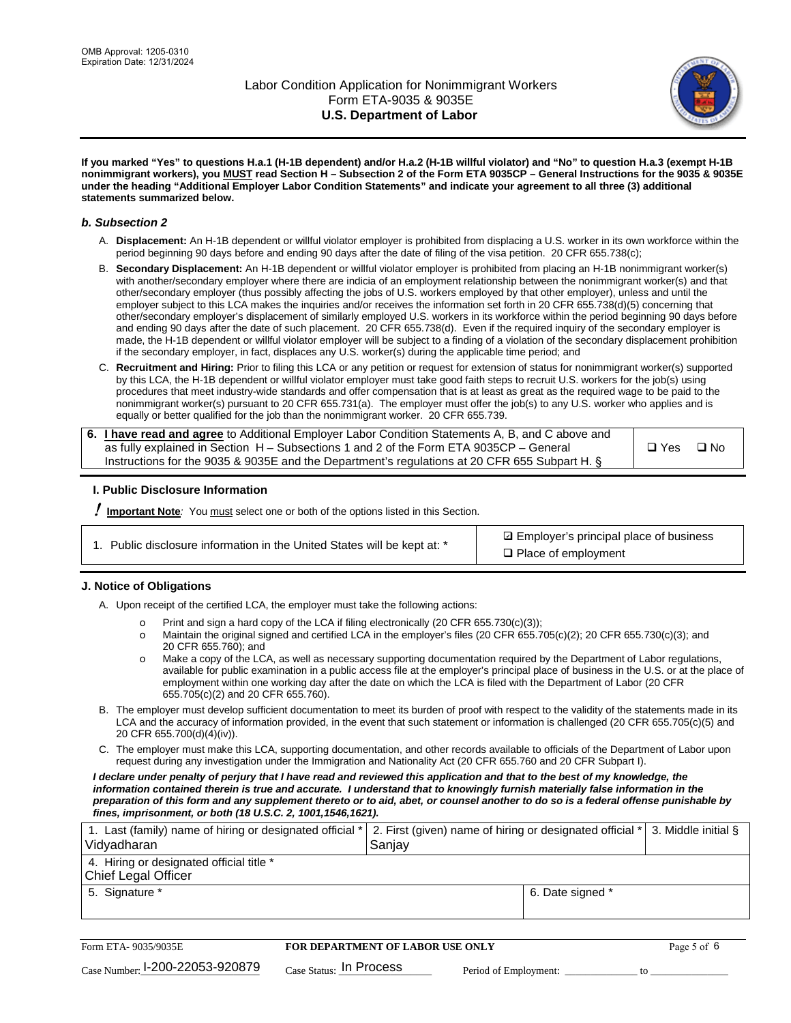

**If you marked "Yes" to questions H.a.1 (H-1B dependent) and/or H.a.2 (H-1B willful violator) and "No" to question H.a.3 (exempt H-1B nonimmigrant workers), you MUST read Section H – Subsection 2 of the Form ETA 9035CP – General Instructions for the 9035 & 9035E under the heading "Additional Employer Labor Condition Statements" and indicate your agreement to all three (3) additional statements summarized below.**

#### *b. Subsection 2*

- A. **Displacement:** An H-1B dependent or willful violator employer is prohibited from displacing a U.S. worker in its own workforce within the period beginning 90 days before and ending 90 days after the date of filing of the visa petition. 20 CFR 655.738(c);
- B. **Secondary Displacement:** An H-1B dependent or willful violator employer is prohibited from placing an H-1B nonimmigrant worker(s) with another/secondary employer where there are indicia of an employment relationship between the nonimmigrant worker(s) and that other/secondary employer (thus possibly affecting the jobs of U.S. workers employed by that other employer), unless and until the employer subject to this LCA makes the inquiries and/or receives the information set forth in 20 CFR 655.738(d)(5) concerning that other/secondary employer's displacement of similarly employed U.S. workers in its workforce within the period beginning 90 days before and ending 90 days after the date of such placement. 20 CFR 655.738(d). Even if the required inquiry of the secondary employer is made, the H-1B dependent or willful violator employer will be subject to a finding of a violation of the secondary displacement prohibition if the secondary employer, in fact, displaces any U.S. worker(s) during the applicable time period; and
- C. **Recruitment and Hiring:** Prior to filing this LCA or any petition or request for extension of status for nonimmigrant worker(s) supported by this LCA, the H-1B dependent or willful violator employer must take good faith steps to recruit U.S. workers for the job(s) using procedures that meet industry-wide standards and offer compensation that is at least as great as the required wage to be paid to the nonimmigrant worker(s) pursuant to 20 CFR 655.731(a). The employer must offer the job(s) to any U.S. worker who applies and is equally or better qualified for the job than the nonimmigrant worker. 20 CFR 655.739.

| 6. I have read and agree to Additional Employer Labor Condition Statements A, B, and C above and |       |           |
|--------------------------------------------------------------------------------------------------|-------|-----------|
| as fully explained in Section H – Subsections 1 and 2 of the Form ETA 9035CP – General           | □ Yes | $\Box$ No |
| Instructions for the 9035 & 9035E and the Department's regulations at 20 CFR 655 Subpart H. §    |       |           |

### **I. Public Disclosure Information**

! **Important Note***:* You must select one or both of the options listed in this Section.

|  | 1. Public disclosure information in the United States will be kept at: * |  |  |  |
|--|--------------------------------------------------------------------------|--|--|--|
|  |                                                                          |  |  |  |

**sqrt** Employer's principal place of business □ Place of employment

### **J. Notice of Obligations**

A. Upon receipt of the certified LCA, the employer must take the following actions:

- o Print and sign a hard copy of the LCA if filing electronically (20 CFR 655.730(c)(3));<br>
Maintain the original signed and certified LCA in the employer's files (20 CFR 655.7
- Maintain the original signed and certified LCA in the employer's files (20 CFR 655.705(c)(2); 20 CFR 655.730(c)(3); and 20 CFR 655.760); and
- o Make a copy of the LCA, as well as necessary supporting documentation required by the Department of Labor regulations, available for public examination in a public access file at the employer's principal place of business in the U.S. or at the place of employment within one working day after the date on which the LCA is filed with the Department of Labor (20 CFR 655.705(c)(2) and 20 CFR 655.760).
- B. The employer must develop sufficient documentation to meet its burden of proof with respect to the validity of the statements made in its LCA and the accuracy of information provided, in the event that such statement or information is challenged (20 CFR 655.705(c)(5) and 20 CFR 655.700(d)(4)(iv)).
- C. The employer must make this LCA, supporting documentation, and other records available to officials of the Department of Labor upon request during any investigation under the Immigration and Nationality Act (20 CFR 655.760 and 20 CFR Subpart I).

*I declare under penalty of perjury that I have read and reviewed this application and that to the best of my knowledge, the*  information contained therein is true and accurate. I understand that to knowingly furnish materially false information in the *preparation of this form and any supplement thereto or to aid, abet, or counsel another to do so is a federal offense punishable by fines, imprisonment, or both (18 U.S.C. 2, 1001,1546,1621).*

| 1. Last (family) name of hiring or designated official *   2. First (given) name of hiring or designated official *   3. Middle initial §<br>Vidyadharan | Saniav           |  |
|----------------------------------------------------------------------------------------------------------------------------------------------------------|------------------|--|
| 4. Hiring or designated official title *<br>Chief Legal Officer                                                                                          |                  |  |
| 5. Signature *                                                                                                                                           | 6. Date signed * |  |

| Form ETA-9035/9035E                         | <b>FOR DEPARTMENT OF LABOR USE ONLY</b> |                       |  |
|---------------------------------------------|-----------------------------------------|-----------------------|--|
| $_{\text{Case Number:}}$ I-200-22053-920879 | $_{\rm Case~S status:}$ In Process      | Period of Employment: |  |